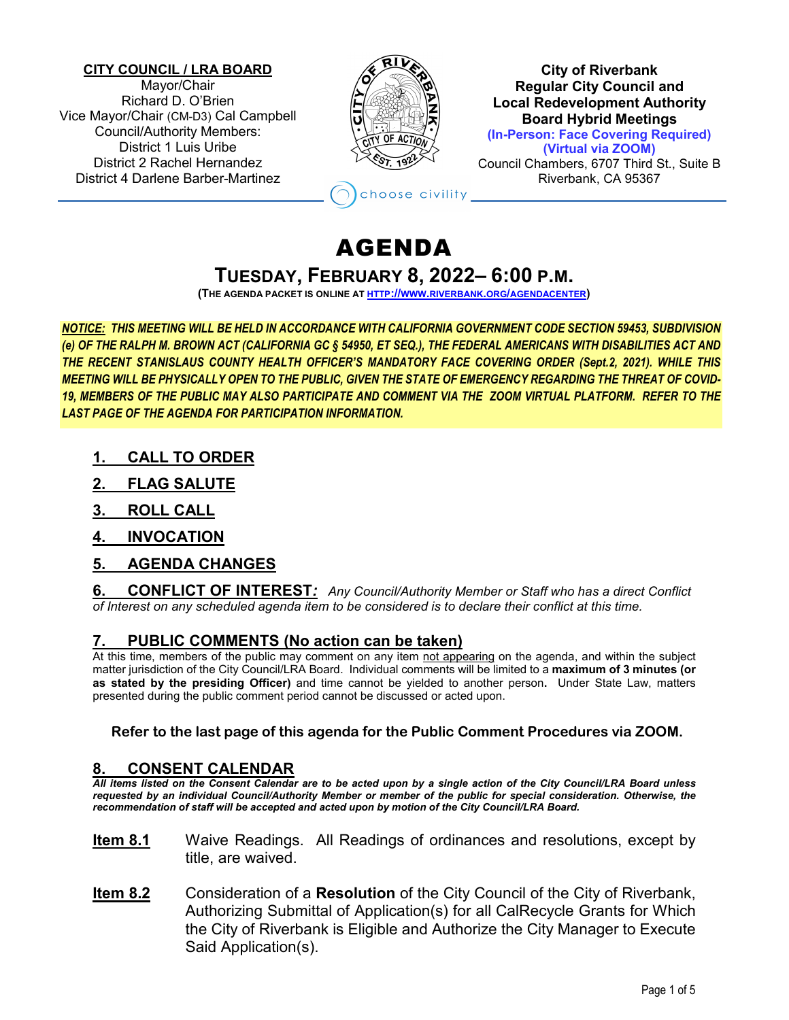#### **CITY COUNCIL / LRA BOARD**

Mayor/Chair Richard D. O'Brien Vice Mayor/Chair (CM-D3) Cal Campbell Council/Authority Members: District 1 Luis Uribe District 2 Rachel Hernandez District 4 Darlene Barber-Martinez



**City of Riverbank Regular City Council and Local Redevelopment Authority Board Hybrid Meetings (In-Person: Face Covering Required) (Virtual via ZOOM)** Council Chambers, 6707 Third St., Suite B Riverbank, CA 95367

hoose civility

# AGENDA

# **TUESDAY, FEBRUARY 8, 2022– 6:00 P.M.**

**(THE AGENDA PACKET IS ONLINE A[T HTTP://WWW.RIVERBANK.ORG/AGENDACENTER\)](http://www.riverbank.org/agendacenter)**

*NOTICE: THIS MEETING WILL BE HELD IN ACCORDANCE WITH CALIFORNIA GOVERNMENT CODE SECTION 59453, SUBDIVISION (e) OF THE RALPH M. BROWN ACT (CALIFORNIA GC § 54950, ET SEQ.), THE FEDERAL AMERICANS WITH DISABILITIES ACT AND THE RECENT STANISLAUS COUNTY HEALTH OFFICER'S MANDATORY FACE COVERING ORDER (Sept.2, 2021). WHILE THIS MEETING WILL BE PHYSICALLY OPEN TO THE PUBLIC, GIVEN THE STATE OF EMERGENCY REGARDING THE THREAT OF COVID-19, MEMBERS OF THE PUBLIC MAY ALSO PARTICIPATE AND COMMENT VIA THE ZOOM VIRTUAL PLATFORM. REFER TO THE LAST PAGE OF THE AGENDA FOR PARTICIPATION INFORMATION.*

- **1. CALL TO ORDER**
- **2. FLAG SALUTE**
- **3. ROLL CALL**
- **4. INVOCATION**
- **5. AGENDA CHANGES**

**6. CONFLICT OF INTEREST***: Any Council/Authority Member or Staff who has a direct Conflict of Interest on any scheduled agenda item to be considered is to declare their conflict at this time.*

## **7. PUBLIC COMMENTS (No action can be taken)**

At this time, members of the public may comment on any item not appearing on the agenda, and within the subject matter jurisdiction of the City Council/LRA Board. Individual comments will be limited to a **maximum of 3 minutes (or as stated by the presiding Officer)** and time cannot be yielded to another person**.** Under State Law, matters presented during the public comment period cannot be discussed or acted upon.

### **Refer to the last page of this agenda for the Public Comment Procedures via ZOOM.**

## **8. CONSENT CALENDAR**

*All items listed on the Consent Calendar are to be acted upon by a single action of the City Council/LRA Board unless requested by an individual Council/Authority Member or member of the public for special consideration. Otherwise, the recommendation of staff will be accepted and acted upon by motion of the City Council/LRA Board.*

- **Item 8.1** Waive Readings. All Readings of ordinances and resolutions, except by title, are waived.
- **Item 8.2** Consideration of a **Resolution** of the City Council of the City of Riverbank, Authorizing Submittal of Application(s) for all CalRecycle Grants for Which the City of Riverbank is Eligible and Authorize the City Manager to Execute Said Application(s).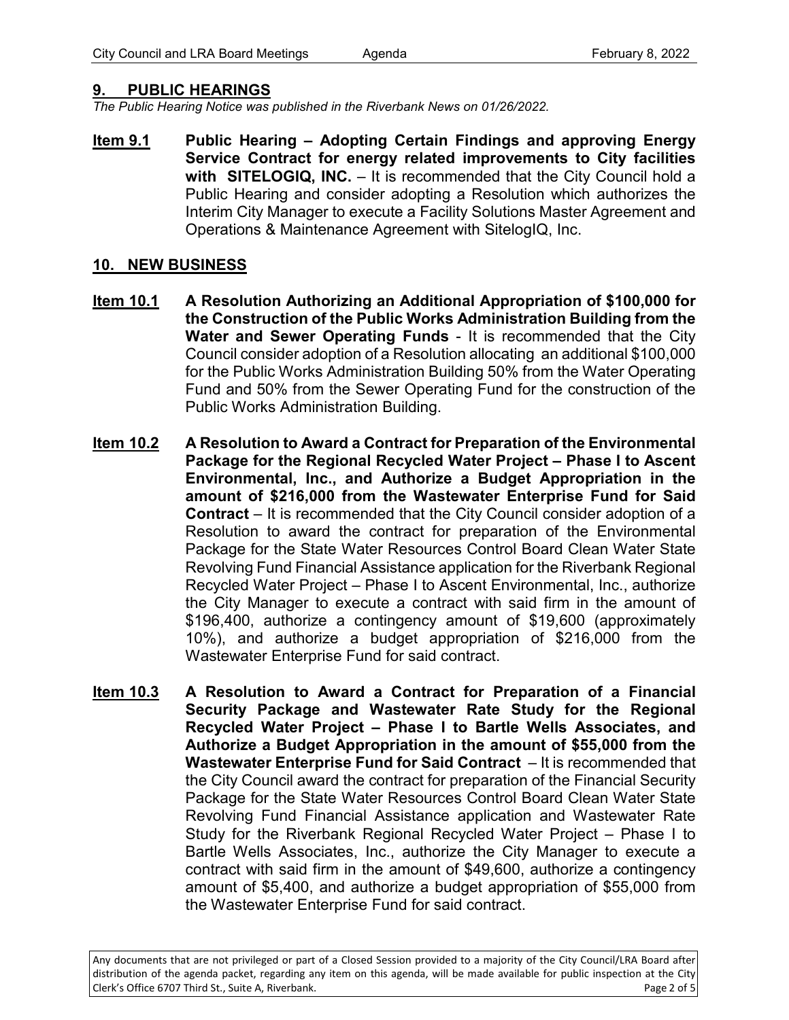## **9. PUBLIC HEARINGS**

*The Public Hearing Notice was published in the Riverbank News on 01/26/2022.* 

**Item 9.1 Public Hearing – Adopting Certain Findings and approving Energy Service Contract for energy related improvements to City facilities**  with SITELOGIQ, INC. - It is recommended that the City Council hold a Public Hearing and consider adopting a Resolution which authorizes the Interim City Manager to execute a Facility Solutions Master Agreement and Operations & Maintenance Agreement with SitelogIQ, Inc.

## **10. NEW BUSINESS**

- **Item 10.1 A Resolution Authorizing an Additional Appropriation of \$100,000 for the Construction of the Public Works Administration Building from the Water and Sewer Operating Funds** - It is recommended that the City Council consider adoption of a Resolution allocating an additional \$100,000 for the Public Works Administration Building 50% from the Water Operating Fund and 50% from the Sewer Operating Fund for the construction of the Public Works Administration Building.
- **Item 10.2 A Resolution to Award a Contract for Preparation of the Environmental Package for the Regional Recycled Water Project – Phase I to Ascent Environmental, Inc., and Authorize a Budget Appropriation in the amount of \$216,000 from the Wastewater Enterprise Fund for Said Contract** – It is recommended that the City Council consider adoption of a Resolution to award the contract for preparation of the Environmental Package for the State Water Resources Control Board Clean Water State Revolving Fund Financial Assistance application for the Riverbank Regional Recycled Water Project – Phase I to Ascent Environmental, Inc., authorize the City Manager to execute a contract with said firm in the amount of \$196,400, authorize a contingency amount of \$19,600 (approximately 10%), and authorize a budget appropriation of \$216,000 from the Wastewater Enterprise Fund for said contract.
- **Item 10.3 A Resolution to Award a Contract for Preparation of a Financial Security Package and Wastewater Rate Study for the Regional Recycled Water Project – Phase I to Bartle Wells Associates, and Authorize a Budget Appropriation in the amount of \$55,000 from the Wastewater Enterprise Fund for Said Contract** – It is recommended that the City Council award the contract for preparation of the Financial Security Package for the State Water Resources Control Board Clean Water State Revolving Fund Financial Assistance application and Wastewater Rate Study for the Riverbank Regional Recycled Water Project – Phase I to Bartle Wells Associates, Inc., authorize the City Manager to execute a contract with said firm in the amount of \$49,600, authorize a contingency amount of \$5,400, and authorize a budget appropriation of \$55,000 from the Wastewater Enterprise Fund for said contract.

Any documents that are not privileged or part of a Closed Session provided to a majority of the City Council/LRA Board after distribution of the agenda packet, regarding any item on this agenda, will be made available for public inspection at the City Clerk's Office 6707 Third St., Suite A, Riverbank. Page 2 of 5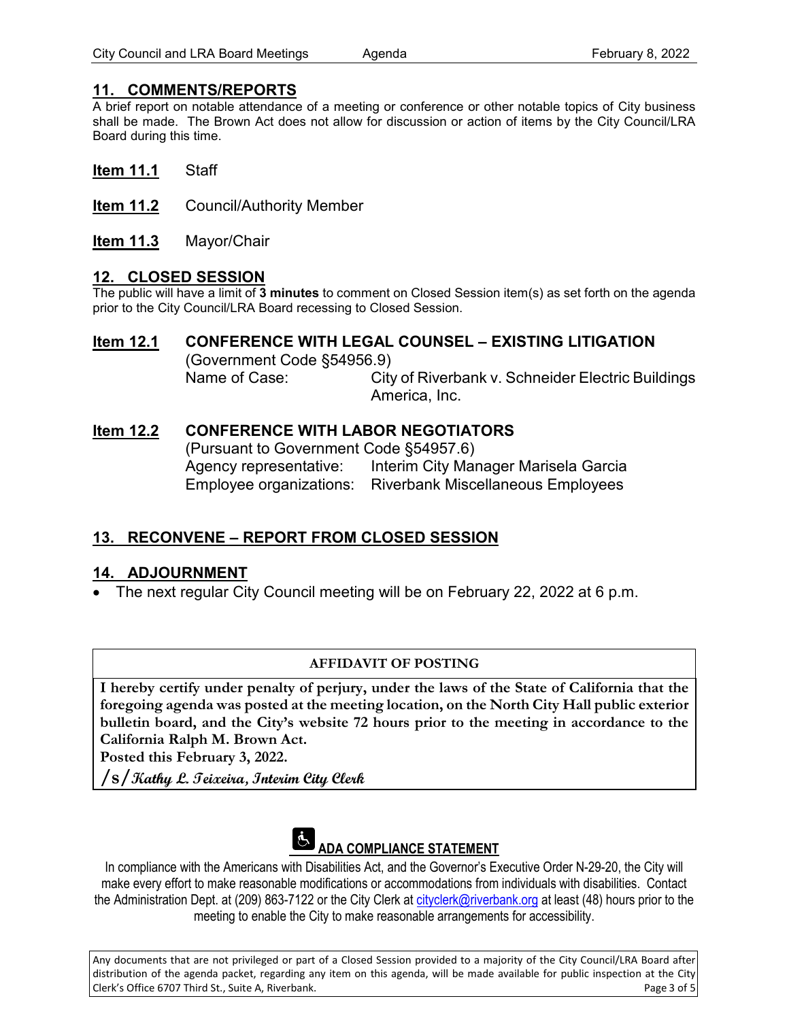## **11. COMMENTS/REPORTS**

A brief report on notable attendance of a meeting or conference or other notable topics of City business shall be made. The Brown Act does not allow for discussion or action of items by the City Council/LRA Board during this time.

- **Item 11.1** Staff
- **Item 11.2** Council/Authority Member
- **Item 11.3** Mayor/Chair

## **12. CLOSED SESSION**

The public will have a limit of **3 minutes** to comment on Closed Session item(s) as set forth on the agenda prior to the City Council/LRA Board recessing to Closed Session.

## **Item 12.1 CONFERENCE WITH LEGAL COUNSEL – EXISTING LITIGATION**

(Government Code §54956.9) Name of Case: City of Riverbank v. Schneider Electric Buildings America, Inc.

## **Item 12.2 CONFERENCE WITH LABOR NEGOTIATORS**

(Pursuant to Government Code §54957.6) Agency representative: Interim City Manager Marisela Garcia Employee organizations: Riverbank Miscellaneous Employees

## **13. RECONVENE – REPORT FROM CLOSED SESSION**

## **14. ADJOURNMENT**

• The next regular City Council meeting will be on February 22, 2022 at 6 p.m.

### **AFFIDAVIT OF POSTING**

**I hereby certify under penalty of perjury, under the laws of the State of California that the foregoing agenda was posted at the meeting location, on the North City Hall public exterior bulletin board, and the City's website 72 hours prior to the meeting in accordance to the California Ralph M. Brown Act.** 

**Posted this February 3, 2022.**

**/s/Kathy L. Teixeira, Interim City Clerk**



In compliance with the Americans with Disabilities Act, and the Governor's Executive Order N-29-20, the City will make every effort to make reasonable modifications or accommodations from individuals with disabilities. Contact the Administration Dept. at (209) 863-7122 or the City Clerk at [cityclerk@riverbank.org](mailto:cityclerk@riverbank.org) at least (48) hours prior to the meeting to enable the City to make reasonable arrangements for accessibility.

Any documents that are not privileged or part of a Closed Session provided to a majority of the City Council/LRA Board after distribution of the agenda packet, regarding any item on this agenda, will be made available for public inspection at the City Clerk's Office 6707 Third St., Suite A, Riverbank. Page 3 of 5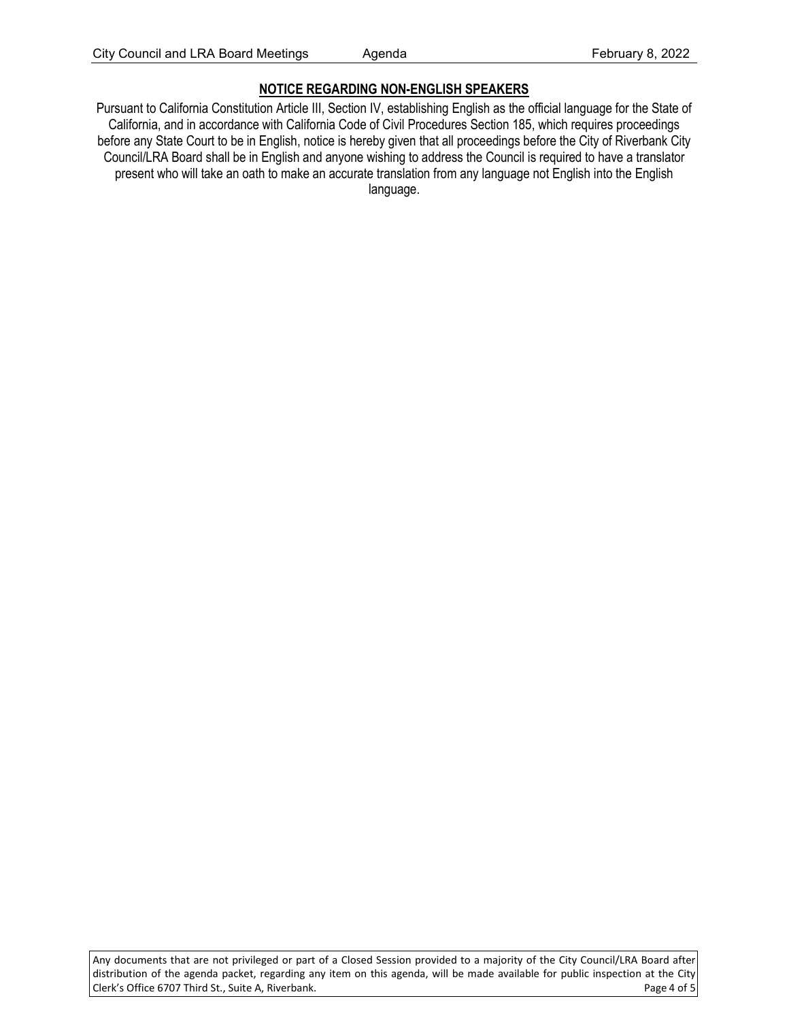## **NOTICE REGARDING NON-ENGLISH SPEAKERS**

Pursuant to California Constitution Article III, Section IV, establishing English as the official language for the State of California, and in accordance with California Code of Civil Procedures Section 185, which requires proceedings before any State Court to be in English, notice is hereby given that all proceedings before the City of Riverbank City Council/LRA Board shall be in English and anyone wishing to address the Council is required to have a translator present who will take an oath to make an accurate translation from any language not English into the English language.

Any documents that are not privileged or part of a Closed Session provided to a majority of the City Council/LRA Board after distribution of the agenda packet, regarding any item on this agenda, will be made available for public inspection at the City Clerk's Office 6707 Third St., Suite A, Riverbank. Page 4 of 5